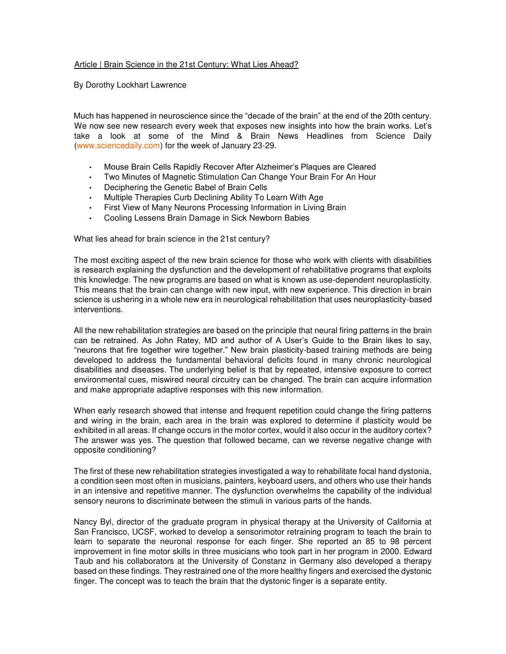## Article | Brain Science in the 21st Century: What Lies Ahead?

By Dorothy Lockhart Lawrence

Much has happened in neuroscience since the "decade of the brain" at the end of the 20th century. We now see new research every week that exposes new insights into how the brain works. Let's take a look at some of the Mind & Brain News Headlines from Science Daily [\(www.sciencedaily.com\)](http://www.sciencedaily.com/) for the week of January 23-29.

- Mouse Brain Cells Rapidly Recover After Alzheimer's Plaques are Cleared
- Two Minutes of Magnetic Stimulation Can Change Your Brain For An Hour
- Deciphering the Genetic Babel of Brain Cells
- Multiple Therapies Curb Declining Ability To Learn With Age
- First View of Many Neurons Processing Information in Living Brain
- Cooling Lessens Brain Damage in Sick Newborn Babies

What lies ahead for brain science in the 21st century?

The most exciting aspect of the new brain science for those who work with clients with disabilities is research explaining the dysfunction and the development of rehabilitative programs that exploits this knowledge. The new programs are based on what is known as use-dependent neuroplasticity. This means that the brain can change with new input, with new experience. This direction in brain science is ushering in a whole new era in neurological rehabilitation that uses neuroplasticity-based interventions.

All the new rehabilitation strategies are based on the principle that neural firing patterns in the brain can be retrained. As John Ratey, MD and author of A User's Guide to the Brain likes to say, "neurons that fire together wire together." New brain plasticity-based training methods are being developed to address the fundamental behavioral deficits found in many chronic neurological disabilities and diseases. The underlying belief is that by repeated, intensive exposure to correct environmental cues, miswired neural circuitry can be changed. The brain can acquire information and make appropriate adaptive responses with this new information.

When early research showed that intense and frequent repetition could change the firing patterns and wiring in the brain, each area in the brain was explored to determine if plasticity would be exhibited in all areas. If change occurs in the motor cortex, would it also occur in the auditory cortex? The answer was yes. The question that followed became, can we reverse negative change with opposite conditioning?

The first of these new rehabilitation strategies investigated a way to rehabilitate focal hand dystonia, a condition seen most often in musicians, painters, keyboard users, and others who use their hands in an intensive and repetitive manner. The dysfunction overwhelms the capability of the individual sensory neurons to discriminate between the stimuli in various parts of the hands.

Nancy Byl, director of the graduate program in physical therapy at the University of California at San Francisco, UCSF, worked to develop a sensorimotor retraining program to teach the brain to learn to separate the neuronal response for each finger. She reported an 85 to 98 percent improvement in fine motor skills in three musicians who took part in her program in 2000. Edward Taub and his collaborators at the University of Constanz in Germany also developed a therapy based on these findings. They restrained one of the more healthy fingers and exercised the dystonic finger. The concept was to teach the brain that the dystonic finger is a separate entity.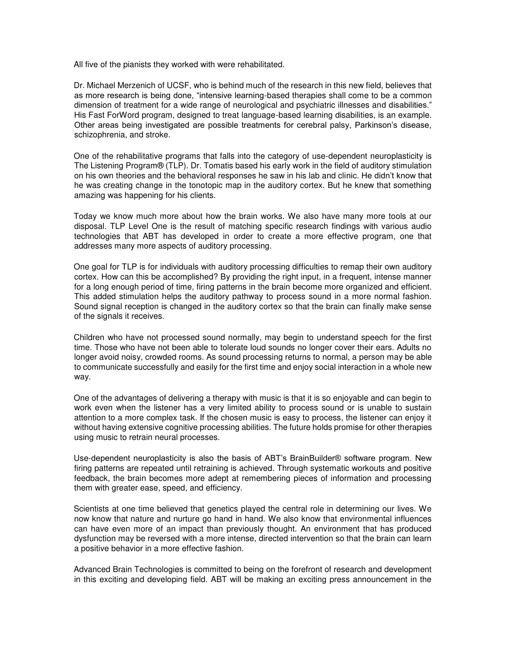All five of the pianists they worked with were rehabilitated.

Dr. Michael Merzenich of UCSF, who is behind much of the research in this new field, believes that as more research is being done, "intensive learning-based therapies shall come to be a common dimension of treatment for a wide range of neurological and psychiatric illnesses and disabilities." His Fast ForWord program, designed to treat language-based learning disabilities, is an example. Other areas being investigated are possible treatments for cerebral palsy, Parkinson's disease, schizophrenia, and stroke.

One of the rehabilitative programs that falls into the category of use-dependent neuroplasticity is The Listening Program® (TLP). Dr. Tomatis based his early work in the field of auditory stimulation on his own theories and the behavioral responses he saw in his lab and clinic. He didn't know that he was creating change in the tonotopic map in the auditory cortex. But he knew that something amazing was happening for his clients.

Today we know much more about how the brain works. We also have many more tools at our disposal. TLP Level One is the result of matching specific research findings with various audio technologies that ABT has developed in order to create a more effective program, one that addresses many more aspects of auditory processing.

One goal for TLP is for individuals with auditory processing difficulties to remap their own auditory cortex. How can this be accomplished? By providing the right input, in a frequent, intense manner for a long enough period of time, firing patterns in the brain become more organized and efficient. This added stimulation helps the auditory pathway to process sound in a more normal fashion. Sound signal reception is changed in the auditory cortex so that the brain can finally make sense of the signals it receives.

Children who have not processed sound normally, may begin to understand speech for the first time. Those who have not been able to tolerate loud sounds no longer cover their ears. Adults no longer avoid noisy, crowded rooms. As sound processing returns to normal, a person may be able to communicate successfully and easily for the first time and enjoy social interaction in a whole new way.

One of the advantages of delivering a therapy with music is that it is so enjoyable and can begin to work even when the listener has a very limited ability to process sound or is unable to sustain attention to a more complex task. If the chosen music is easy to process, the listener can enjoy it without having extensive cognitive processing abilities. The future holds promise for other therapies using music to retrain neural processes.

Use-dependent neuroplasticity is also the basis of ABT's BrainBuilder® software program. New firing patterns are repeated until retraining is achieved. Through systematic workouts and positive feedback, the brain becomes more adept at remembering pieces of information and processing them with greater ease, speed, and efficiency.

Scientists at one time believed that genetics played the central role in determining our lives. We now know that nature and nurture go hand in hand. We also know that environmental influences can have even more of an impact than previously thought. An environment that has produced dysfunction may be reversed with a more intense, directed intervention so that the brain can learn a positive behavior in a more effective fashion.

Advanced Brain Technologies is committed to being on the forefront of research and development in this exciting and developing field. ABT will be making an exciting press announcement in the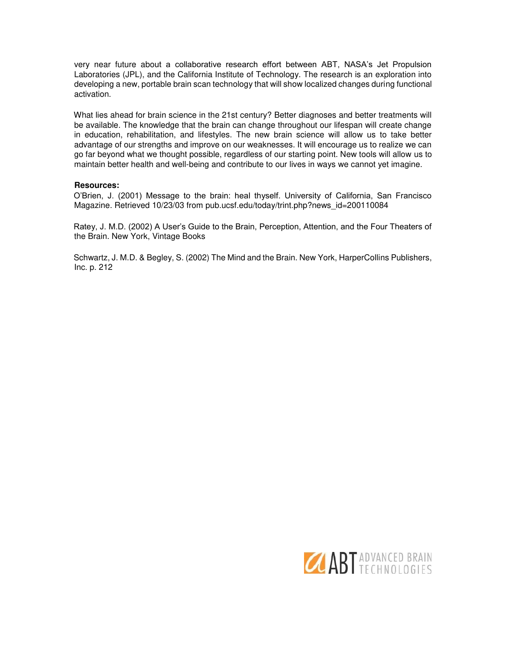very near future about a collaborative research effort between ABT, NASA's Jet Propulsion Laboratories (JPL), and the California Institute of Technology. The research is an exploration into developing a new, portable brain scan technology that will show localized changes during functional activation.

What lies ahead for brain science in the 21st century? Better diagnoses and better treatments will be available. The knowledge that the brain can change throughout our lifespan will create change in education, rehabilitation, and lifestyles. The new brain science will allow us to take better advantage of our strengths and improve on our weaknesses. It will encourage us to realize we can go far beyond what we thought possible, regardless of our starting point. New tools will allow us to maintain better health and well-being and contribute to our lives in ways we cannot yet imagine.

## **Resources:**

O'Brien, J. (2001) Message to the brain: heal thyself. University of California, San Francisco Magazine. Retrieved 10/23/03 from pub.ucsf.edu/today/trint.php?news\_id=200110084

Ratey, J. M.D. (2002) A User's Guide to the Brain, Perception, Attention, and the Four Theaters of the Brain. New York, Vintage Books

Schwartz, J. M.D. & Begley, S. (2002) The Mind and the Brain. New York, HarperCollins Publishers, Inc. p. 212